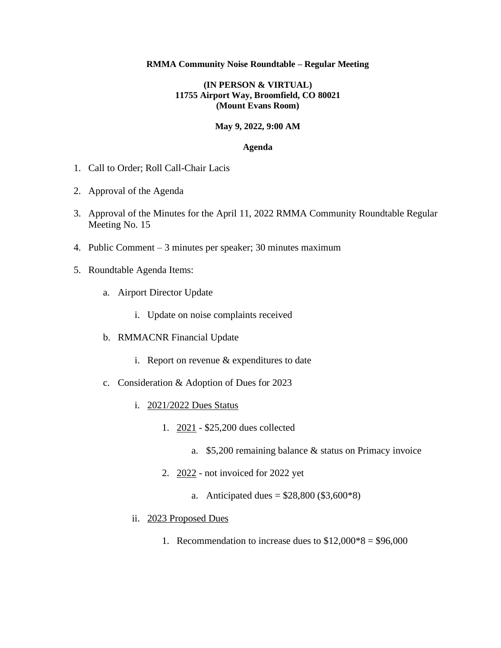#### **RMMA Community Noise Roundtable – Regular Meeting**

### **(IN PERSON & VIRTUAL) 11755 Airport Way, Broomfield, CO 80021 (Mount Evans Room)**

### **May 9, 2022, 9:00 AM**

#### **Agenda**

- 1. Call to Order; Roll Call-Chair Lacis
- 2. Approval of the Agenda
- 3. Approval of the Minutes for the April 11, 2022 RMMA Community Roundtable Regular Meeting No. 15
- 4. Public Comment 3 minutes per speaker; 30 minutes maximum
- 5. Roundtable Agenda Items:
	- a. Airport Director Update
		- i. Update on noise complaints received
	- b. RMMACNR Financial Update
		- i. Report on revenue & expenditures to date
	- c. Consideration & Adoption of Dues for 2023
		- i. 2021/2022 Dues Status
			- 1. 2021 \$25,200 dues collected
				- a. \$5,200 remaining balance & status on Primacy invoice
			- 2. 2022 not invoiced for 2022 yet
				- a. Anticipated dues =  $$28,800 ($3,600*8)$
		- ii. 2023 Proposed Dues
			- 1. Recommendation to increase dues to  $$12,000*8 = $96,000$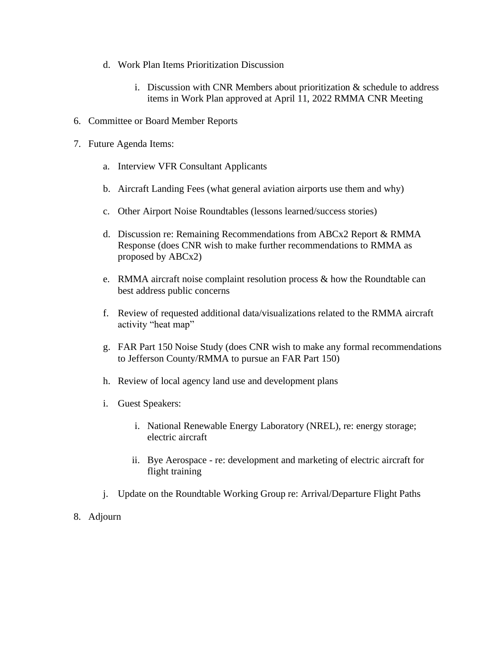- d. Work Plan Items Prioritization Discussion
	- i. Discussion with CNR Members about prioritization  $\&$  schedule to address items in Work Plan approved at April 11, 2022 RMMA CNR Meeting
- 6. Committee or Board Member Reports
- 7. Future Agenda Items:
	- a. Interview VFR Consultant Applicants
	- b. Aircraft Landing Fees (what general aviation airports use them and why)
	- c. Other Airport Noise Roundtables (lessons learned/success stories)
	- d. Discussion re: Remaining Recommendations from ABCx2 Report & RMMA Response (does CNR wish to make further recommendations to RMMA as proposed by ABCx2)
	- e. RMMA aircraft noise complaint resolution process & how the Roundtable can best address public concerns
	- f. Review of requested additional data/visualizations related to the RMMA aircraft activity "heat map"
	- g. FAR Part 150 Noise Study (does CNR wish to make any formal recommendations to Jefferson County/RMMA to pursue an FAR Part 150)
	- h. Review of local agency land use and development plans
	- i. Guest Speakers:
		- i. National Renewable Energy Laboratory (NREL), re: energy storage; electric aircraft
		- ii. Bye Aerospace re: development and marketing of electric aircraft for flight training
	- j. Update on the Roundtable Working Group re: Arrival/Departure Flight Paths
- 8. Adjourn